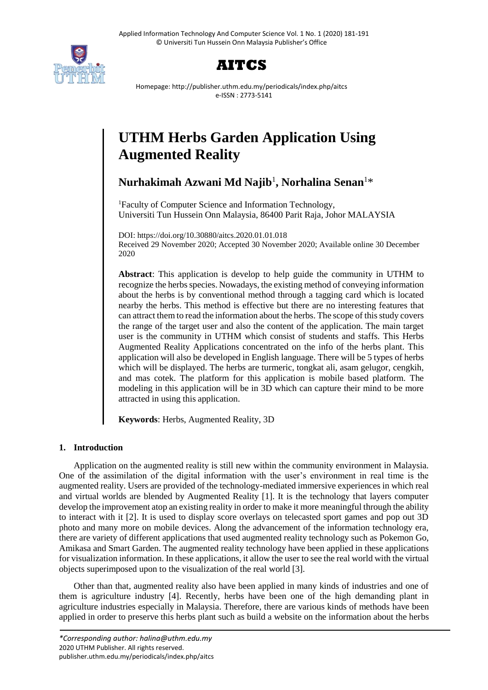



Homepage: http://publisher.uthm.edu.my/periodicals/index.php/aitcs e-ISSN : 2773-5141

# **UTHM Herbs Garden Application Using Augmented Reality**

**Nurhakimah Azwani Md Najib**<sup>1</sup> **, Norhalina Senan**<sup>1</sup>\*

<sup>1</sup>Faculty of Computer Science and Information Technology, Universiti Tun Hussein Onn Malaysia, 86400 Parit Raja, Johor MALAYSIA

DOI: https://doi.org/10.30880/aitcs.2020.01.01.018 Received 29 November 2020; Accepted 30 November 2020; Available online 30 December 2020

**Abstract**: This application is develop to help guide the community in UTHM to recognize the herbs species. Nowadays, the existing method of conveying information about the herbs is by conventional method through a tagging card which is located nearby the herbs. This method is effective but there are no interesting features that can attract them to read the information about the herbs. The scope of this study covers the range of the target user and also the content of the application. The main target user is the community in UTHM which consist of students and staffs. This Herbs Augmented Reality Applications concentrated on the info of the herbs plant. This application will also be developed in English language. There will be 5 types of herbs which will be displayed. The herbs are turmeric, tongkat ali, asam gelugor, cengkih, and mas cotek. The platform for this application is mobile based platform. The modeling in this application will be in 3D which can capture their mind to be more attracted in using this application.

**Keywords**: Herbs, Augmented Reality, 3D

# **1. Introduction**

Application on the augmented reality is still new within the community environment in Malaysia. One of the assimilation of the digital information with the user's environment in real time is the augmented reality. Users are provided of the technology-mediated immersive experiences in which real and virtual worlds are blended by Augmented Reality [1]. It is the technology that layers computer develop the improvement atop an existing reality in order to make it more meaningful through the ability to interact with it [2]. It is used to display score overlays on telecasted sport games and pop out 3D photo and many more on mobile devices. Along the advancement of the information technology era, there are variety of different applications that used augmented reality technology such as Pokemon Go, Amikasa and Smart Garden. The augmented reality technology have been applied in these applications for visualization information. In these applications, it allow the user to see the real world with the virtual objects superimposed upon to the visualization of the real world [3].

Other than that, augmented reality also have been applied in many kinds of industries and one of them is agriculture industry [4]. Recently, herbs have been one of the high demanding plant in agriculture industries especially in Malaysia. Therefore, there are various kinds of methods have been applied in order to preserve this herbs plant such as build a website on the information about the herbs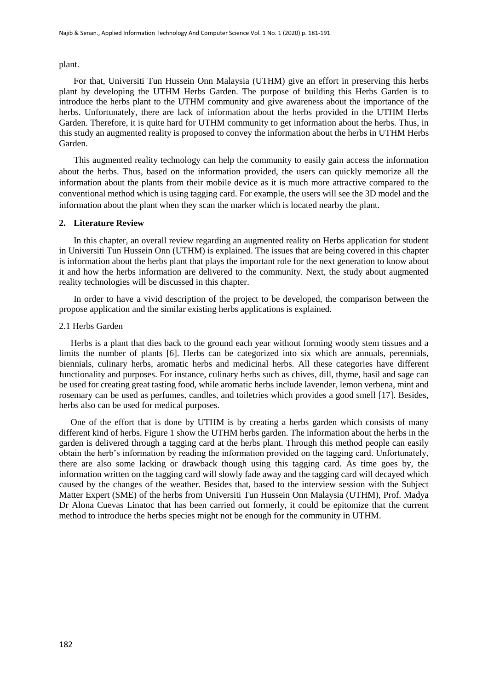plant.

For that, Universiti Tun Hussein Onn Malaysia (UTHM) give an effort in preserving this herbs plant by developing the UTHM Herbs Garden. The purpose of building this Herbs Garden is to introduce the herbs plant to the UTHM community and give awareness about the importance of the herbs. Unfortunately, there are lack of information about the herbs provided in the UTHM Herbs Garden. Therefore, it is quite hard for UTHM community to get information about the herbs. Thus, in this study an augmented reality is proposed to convey the information about the herbs in UTHM Herbs Garden.

This augmented reality technology can help the community to easily gain access the information about the herbs. Thus, based on the information provided, the users can quickly memorize all the information about the plants from their mobile device as it is much more attractive compared to the conventional method which is using tagging card. For example, the users will see the 3D model and the information about the plant when they scan the marker which is located nearby the plant.

#### **2. Literature Review**

In this chapter, an overall review regarding an augmented reality on Herbs application for student in Universiti Tun Hussein Onn (UTHM) is explained. The issues that are being covered in this chapter is information about the herbs plant that plays the important role for the next generation to know about it and how the herbs information are delivered to the community. Next, the study about augmented reality technologies will be discussed in this chapter.

In order to have a vivid description of the project to be developed, the comparison between the propose application and the similar existing herbs applications is explained.

#### 2.1 Herbs Garden

Herbs is a plant that dies back to the ground each year without forming woody stem tissues and a limits the number of plants [6]. Herbs can be categorized into six which are annuals, perennials, biennials, culinary herbs, aromatic herbs and medicinal herbs. All these categories have different functionality and purposes. For instance, culinary herbs such as chives, dill, thyme, basil and sage can be used for creating great tasting food, while aromatic herbs include lavender, lemon verbena, mint and rosemary can be used as perfumes, candles, and toiletries which provides a good smell [17]. Besides, herbs also can be used for medical purposes.

One of the effort that is done by UTHM is by creating a herbs garden which consists of many different kind of herbs. Figure 1 show the UTHM herbs garden. The information about the herbs in the garden is delivered through a tagging card at the herbs plant. Through this method people can easily obtain the herb's information by reading the information provided on the tagging card. Unfortunately, there are also some lacking or drawback though using this tagging card. As time goes by, the information written on the tagging card will slowly fade away and the tagging card will decayed which caused by the changes of the weather. Besides that, based to the interview session with the Subject Matter Expert (SME) of the herbs from Universiti Tun Hussein Onn Malaysia (UTHM), Prof. Madya Dr Alona Cuevas Linatoc that has been carried out formerly, it could be epitomize that the current method to introduce the herbs species might not be enough for the community in UTHM.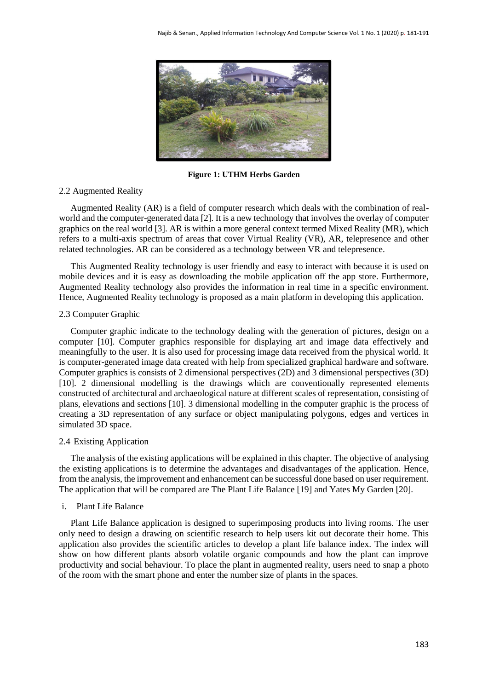

**Figure 1: UTHM Herbs Garden**

# 2.2 Augmented Reality

Augmented Reality (AR) is a field of computer research which deals with the combination of realworld and the computer-generated data [2]. It is a new technology that involves the overlay of computer graphics on the real world [3]. AR is within a more general context termed Mixed Reality (MR), which refers to a multi-axis spectrum of areas that cover Virtual Reality (VR), AR, telepresence and other related technologies. AR can be considered as a technology between VR and telepresence.

This Augmented Reality technology is user friendly and easy to interact with because it is used on mobile devices and it is easy as downloading the mobile application off the app store. Furthermore, Augmented Reality technology also provides the information in real time in a specific environment. Hence, Augmented Reality technology is proposed as a main platform in developing this application.

#### 2.3 Computer Graphic

Computer graphic indicate to the technology dealing with the generation of pictures, design on a computer [10]. Computer graphics responsible for displaying art and image data effectively and meaningfully to the user. It is also used for processing image data received from the physical world. It is computer-generated image data created with help from specialized graphical hardware and software. Computer graphics is consists of 2 dimensional perspectives (2D) and 3 dimensional perspectives (3D) [10]. 2 dimensional modelling is the drawings which are conventionally represented elements constructed of architectural and archaeological nature at different scales of representation, consisting of plans, elevations and sections [10]. 3 dimensional modelling in the computer graphic is the process of creating a 3D representation of any surface or object manipulating polygons, edges and vertices in simulated 3D space.

#### 2.4 Existing Application

The analysis of the existing applications will be explained in this chapter. The objective of analysing the existing applications is to determine the advantages and disadvantages of the application. Hence, from the analysis, the improvement and enhancement can be successful done based on user requirement. The application that will be compared are The Plant Life Balance [19] and Yates My Garden [20].

# i. Plant Life Balance

Plant Life Balance application is designed to superimposing products into living rooms. The user only need to design a drawing on scientific research to help users kit out decorate their home. This application also provides the scientific articles to develop a plant life balance index. The index will show on how different plants absorb volatile organic compounds and how the plant can improve productivity and social behaviour. To place the plant in augmented reality, users need to snap a photo of the room with the smart phone and enter the number size of plants in the spaces.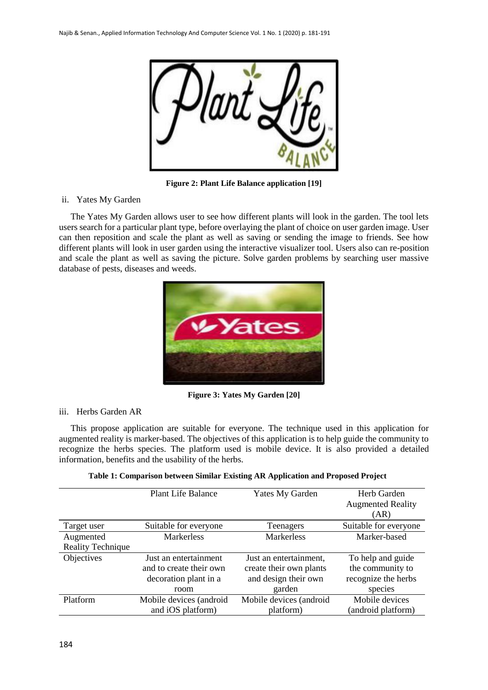

**Figure 2: Plant Life Balance application [19]**

# ii. Yates My Garden

The Yates My Garden allows user to see how different plants will look in the garden. The tool lets users search for a particular plant type, before overlaying the plant of choice on user garden image. User can then reposition and scale the plant as well as saving or sending the image to friends. See how different plants will look in user garden using the interactive visualizer tool. Users also can re-position and scale the plant as well as saving the picture. Solve garden problems by searching user massive database of pests, diseases and weeds.



**Figure 3: Yates My Garden [20]**

# iii. Herbs Garden AR

This propose application are suitable for everyone. The technique used in this application for augmented reality is marker-based. The objectives of this application is to help guide the community to recognize the herbs species. The platform used is mobile device. It is also provided a detailed information, benefits and the usability of the herbs.

|                          | <b>Plant Life Balance</b> | <b>Yates My Garden</b>  | Herb Garden              |
|--------------------------|---------------------------|-------------------------|--------------------------|
|                          |                           |                         | <b>Augmented Reality</b> |
|                          |                           |                         | (AR)                     |
| Target user              | Suitable for everyone     | Teenagers               | Suitable for everyone    |
| Augmented                | <b>Markerless</b>         | <b>Markerless</b>       | Marker-based             |
| <b>Reality Technique</b> |                           |                         |                          |
| Objectives               | Just an entertainment     | Just an entertainment,  | To help and guide        |
|                          | and to create their own   | create their own plants | the community to         |
|                          | decoration plant in a     | and design their own    | recognize the herbs      |
|                          | room                      | garden                  | species                  |
| Platform                 | Mobile devices (android   | Mobile devices (android | Mobile devices           |
|                          | and iOS platform)         | platform)               | (android platform)       |

| Table 1: Comparison between Similar Existing AR Application and Proposed Project |  |  |  |  |
|----------------------------------------------------------------------------------|--|--|--|--|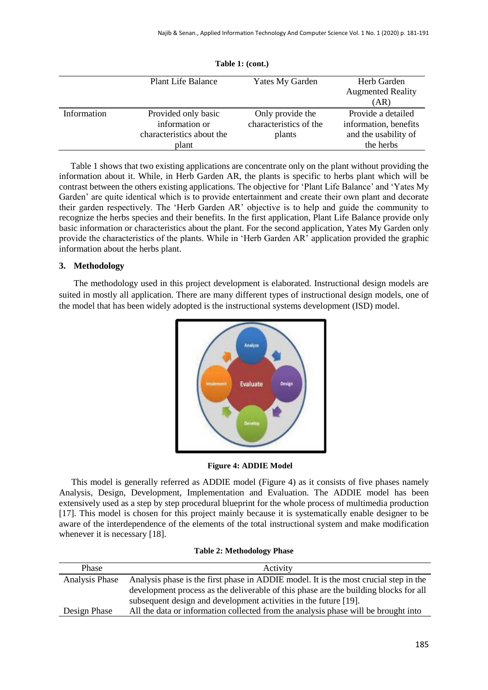|             | <b>Plant Life Balance</b> | Yates My Garden        | Herb Garden              |
|-------------|---------------------------|------------------------|--------------------------|
|             |                           |                        | <b>Augmented Reality</b> |
|             |                           |                        | (AR)                     |
| Information | Provided only basic       | Only provide the       | Provide a detailed       |
|             | information or            | characteristics of the | information, benefits    |
|             | characteristics about the | plants                 | and the usability of     |
|             | plant                     |                        | the herbs                |

**Table 1: (cont.)**

Table 1 shows that two existing applications are concentrate only on the plant without providing the information about it. While, in Herb Garden AR, the plants is specific to herbs plant which will be contrast between the others existing applications. The objective for 'Plant Life Balance' and 'Yates My Garden' are quite identical which is to provide entertainment and create their own plant and decorate their garden respectively. The 'Herb Garden AR' objective is to help and guide the community to recognize the herbs species and their benefits. In the first application, Plant Life Balance provide only basic information or characteristics about the plant. For the second application, Yates My Garden only provide the characteristics of the plants. While in 'Herb Garden AR' application provided the graphic information about the herbs plant.

# **3. Methodology**

The methodology used in this project development is elaborated. Instructional design models are suited in mostly all application. There are many different types of instructional design models, one of the model that has been widely adopted is the instructional systems development (ISD) model.



**Figure 4: ADDIE Model**

This model is generally referred as ADDIE model (Figure 4) as it consists of five phases namely Analysis, Design, Development, Implementation and Evaluation. The ADDIE model has been extensively used as a step by step procedural blueprint for the whole process of multimedia production [17]. This model is chosen for this project mainly because it is systematically enable designer to be aware of the interdependence of the elements of the total instructional system and make modification whenever it is necessary [18].

|  | <b>Table 2: Methodology Phase</b> |  |
|--|-----------------------------------|--|
|--|-----------------------------------|--|

| Phase          | Activity                                                                             |
|----------------|--------------------------------------------------------------------------------------|
| Analysis Phase | Analysis phase is the first phase in ADDIE model. It is the most crucial step in the |
|                | development process as the deliverable of this phase are the building blocks for all |
|                | subsequent design and development activities in the future [19].                     |
| Design Phase   | All the data or information collected from the analysis phase will be brought into   |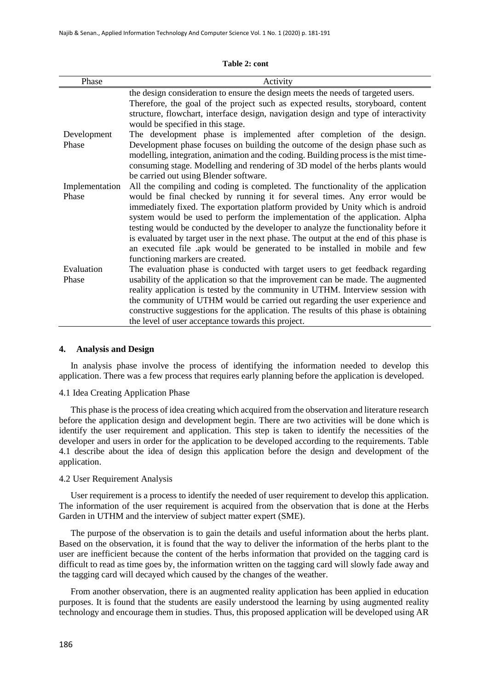| Phase          | Activity                                                                                                                                                                                                                                                                                                                                                                                                                                                                                                                                      |
|----------------|-----------------------------------------------------------------------------------------------------------------------------------------------------------------------------------------------------------------------------------------------------------------------------------------------------------------------------------------------------------------------------------------------------------------------------------------------------------------------------------------------------------------------------------------------|
|                | the design consideration to ensure the design meets the needs of targeted users.<br>Therefore, the goal of the project such as expected results, storyboard, content<br>structure, flowchart, interface design, navigation design and type of interactivity<br>would be specified in this stage.                                                                                                                                                                                                                                              |
| Development    | The development phase is implemented after completion of the design.                                                                                                                                                                                                                                                                                                                                                                                                                                                                          |
| Phase          | Development phase focuses on building the outcome of the design phase such as<br>modelling, integration, animation and the coding. Building process is the mist time-<br>consuming stage. Modelling and rendering of 3D model of the herbs plants would<br>be carried out using Blender software.                                                                                                                                                                                                                                             |
| Implementation | All the compiling and coding is completed. The functionality of the application                                                                                                                                                                                                                                                                                                                                                                                                                                                               |
| Phase          | would be final checked by running it for several times. Any error would be<br>immediately fixed. The exportation platform provided by Unity which is android<br>system would be used to perform the implementation of the application. Alpha<br>testing would be conducted by the developer to analyze the functionality before it<br>is evaluated by target user in the next phase. The output at the end of this phase is<br>an executed file .apk would be generated to be installed in mobile and few<br>functioning markers are created. |
| Evaluation     | The evaluation phase is conducted with target users to get feedback regarding                                                                                                                                                                                                                                                                                                                                                                                                                                                                 |
| Phase          | usability of the application so that the improvement can be made. The augmented<br>reality application is tested by the community in UTHM. Interview session with<br>the community of UTHM would be carried out regarding the user experience and<br>constructive suggestions for the application. The results of this phase is obtaining<br>the level of user acceptance towards this project.                                                                                                                                               |

#### **Table 2: cont**

#### **4. Analysis and Design**

In analysis phase involve the process of identifying the information needed to develop this application. There was a few process that requires early planning before the application is developed.

#### 4.1 Idea Creating Application Phase

This phase is the process of idea creating which acquired from the observation and literature research before the application design and development begin. There are two activities will be done which is identify the user requirement and application. This step is taken to identify the necessities of the developer and users in order for the application to be developed according to the requirements. Table 4.1 describe about the idea of design this application before the design and development of the application.

# 4.2 User Requirement Analysis

User requirement is a process to identify the needed of user requirement to develop this application. The information of the user requirement is acquired from the observation that is done at the Herbs Garden in UTHM and the interview of subject matter expert (SME).

The purpose of the observation is to gain the details and useful information about the herbs plant. Based on the observation, it is found that the way to deliver the information of the herbs plant to the user are inefficient because the content of the herbs information that provided on the tagging card is difficult to read as time goes by, the information written on the tagging card will slowly fade away and the tagging card will decayed which caused by the changes of the weather.

From another observation, there is an augmented reality application has been applied in education purposes. It is found that the students are easily understood the learning by using augmented reality technology and encourage them in studies. Thus, this proposed application will be developed using AR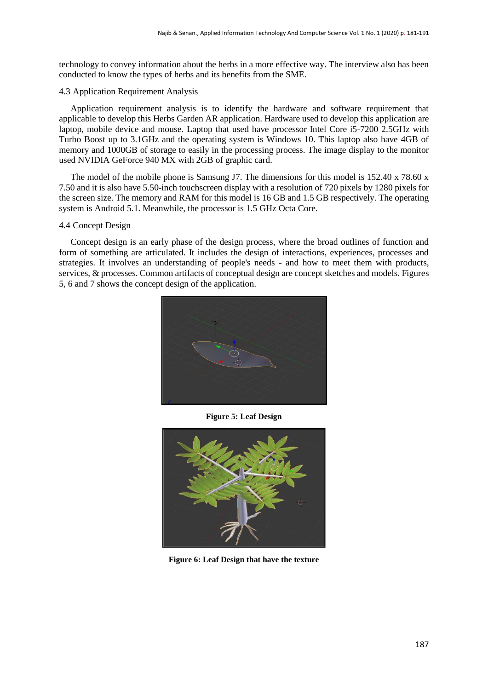technology to convey information about the herbs in a more effective way. The interview also has been conducted to know the types of herbs and its benefits from the SME.

## 4.3 Application Requirement Analysis

Application requirement analysis is to identify the hardware and software requirement that applicable to develop this Herbs Garden AR application. Hardware used to develop this application are laptop, mobile device and mouse. Laptop that used have processor Intel Core i5-7200 2.5GHz with Turbo Boost up to 3.1GHz and the operating system is Windows 10. This laptop also have 4GB of memory and 1000GB of storage to easily in the processing process. The image display to the monitor used NVIDIA GeForce 940 MX with 2GB of graphic card.

The model of the mobile phone is Samsung J7. The dimensions for this model is  $152.40 \times 78.60 \times$ 7.50 and it is also have 5.50-inch touchscreen display with a resolution of 720 pixels by 1280 pixels for the screen size. The memory and RAM for this model is 16 GB and 1.5 GB respectively. The operating system is Android 5.1. Meanwhile, the processor is 1.5 GHz Octa Core.

# 4.4 Concept Design

Concept design is an early phase of the design process, where the broad outlines of function and form of something are articulated. It includes the design of interactions, experiences, processes and strategies. It involves an understanding of people's needs - and how to meet them with products, services, & processes. Common artifacts of conceptual design are concept sketches and models. Figures 5, 6 and 7 shows the concept design of the application.



**Figure 5: Leaf Design**



**Figure 6: Leaf Design that have the texture**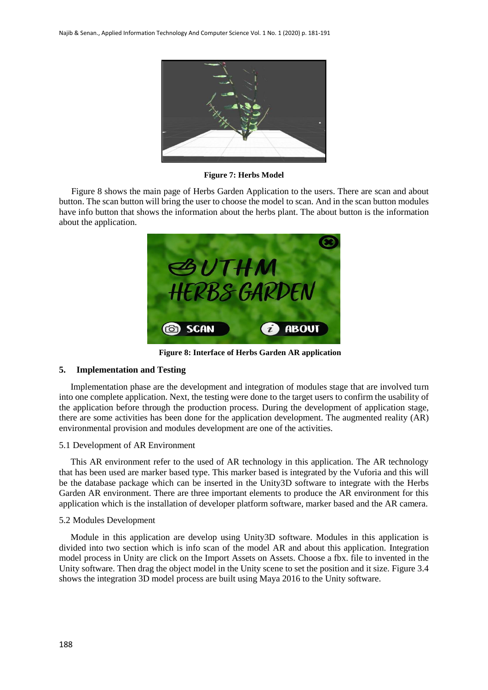

**Figure 7: Herbs Model**

Figure 8 shows the main page of Herbs Garden Application to the users. There are scan and about button. The scan button will bring the user to choose the model to scan. And in the scan button modules have info button that shows the information about the herbs plant. The about button is the information about the application.



**Figure 8: Interface of Herbs Garden AR application**

## **5. Implementation and Testing**

Implementation phase are the development and integration of modules stage that are involved turn into one complete application. Next, the testing were done to the target users to confirm the usability of the application before through the production process. During the development of application stage, there are some activities has been done for the application development. The augmented reality (AR) environmental provision and modules development are one of the activities.

## 5.1 Development of AR Environment

This AR environment refer to the used of AR technology in this application. The AR technology that has been used are marker based type. This marker based is integrated by the Vuforia and this will be the database package which can be inserted in the Unity3D software to integrate with the Herbs Garden AR environment. There are three important elements to produce the AR environment for this application which is the installation of developer platform software, marker based and the AR camera.

## 5.2 Modules Development

Module in this application are develop using Unity3D software. Modules in this application is divided into two section which is info scan of the model AR and about this application. Integration model process in Unity are click on the Import Assets on Assets. Choose a fbx. file to invented in the Unity software. Then drag the object model in the Unity scene to set the position and it size. Figure 3.4 shows the integration 3D model process are built using Maya 2016 to the Unity software.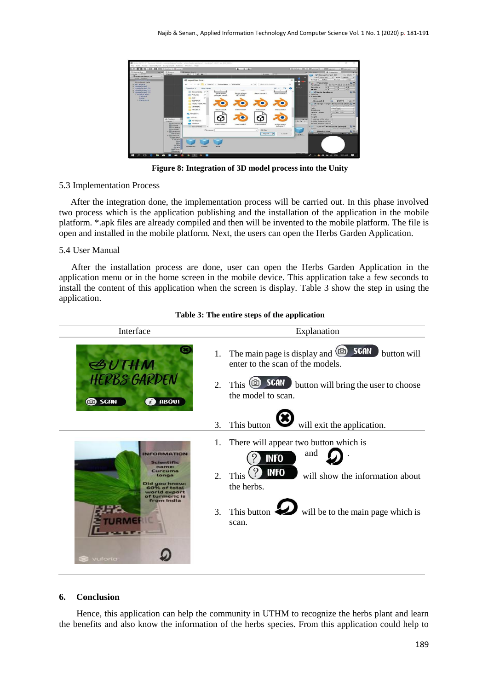

**Figure 8: Integration of 3D model process into the Unity**

# 5.3 Implementation Process

After the integration done, the implementation process will be carried out. In this phase involved two process which is the application publishing and the installation of the application in the mobile platform. \*.apk files are already compiled and then will be invented to the mobile platform. The file is open and installed in the mobile platform. Next, the users can open the Herbs Garden Application.

# 5.4 User Manual

After the installation process are done, user can open the Herbs Garden Application in the application menu or in the home screen in the mobile device. This application take a few seconds to install the content of this application when the screen is display. Table 3 show the step in using the application.

| Interface                                                                                                                           | Explanation                                                                                                                                                                                                            |
|-------------------------------------------------------------------------------------------------------------------------------------|------------------------------------------------------------------------------------------------------------------------------------------------------------------------------------------------------------------------|
| <b>GUTHM</b><br><b>HERBS GARDEN</b><br><b>2</b> ABOUT<br>co SCAN                                                                    | <b>SCAN</b><br>The main page is display and $\circledcirc$<br>button will<br>1.<br>enter to the scan of the models.<br>SCAN<br>This $\circledcirc$<br>button will bring the user to choose<br>2.<br>the model to scan. |
|                                                                                                                                     | will exit the application.<br>This button<br>3.                                                                                                                                                                        |
| Scientific<br>name:<br>Curcuma<br>longa<br>Did you know:<br>60% of total<br>world export<br>of turmeric is<br>from India<br>vuloria | There will appear two button which is<br>1.<br>and<br><b>INFO</b><br><b>INFO</b><br>2.<br>This<br>will show the information about<br>the herbs.<br>This button will be to the main page which is<br>3.<br>scan.        |

# **Table 3: The entire steps of the application**

## **6. Conclusion**

Hence, this application can help the community in UTHM to recognize the herbs plant and learn the benefits and also know the information of the herbs species. From this application could help to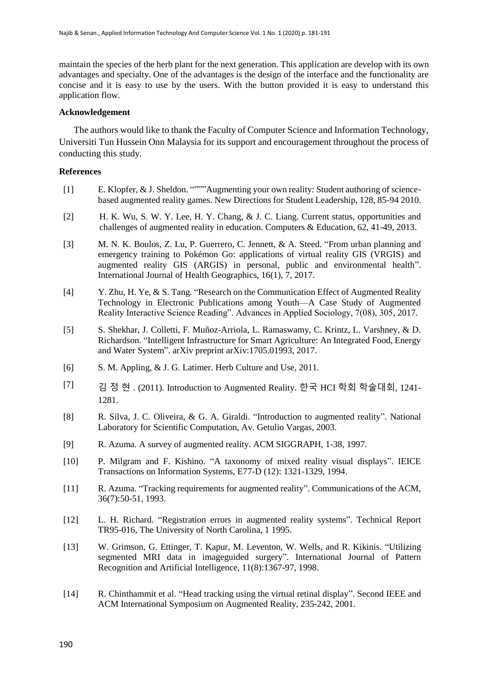maintain the species of the herb plant for the next generation. This application are develop with its own advantages and specialty. One of the advantages is the design of the interface and the functionality are concise and it is easy to use by the users. With the button provided it is easy to understand this application flow.

# **Acknowledgement**

The authors would like to thank the Faculty of Computer Science and Information Technology, Universiti Tun Hussein Onn Malaysia for its support and encouragement throughout the process of conducting this study.

# **References**

- [1] E. Klopfer, & J. Sheldon. """"Augmenting your own reality: Student authoring of sciencebased augmented reality games. New Directions for Student Leadership, 128, 85-94 2010.
- [2] H. K. Wu, S. W. Y. Lee, H. Y. Chang, & J. C. Liang. Current status, opportunities and challenges of augmented reality in education. Computers & Education, 62, 41-49, 2013.
- [3] M. N. K. Boulos, Z. Lu, P. Guerrero, C. Jennett, & A. Steed. "From urban planning and emergency training to Pokémon Go: applications of virtual reality GIS (VRGIS) and augmented reality GIS (ARGIS) in personal, public and environmental health". International Journal of Health Geographics, 16(1), 7, 2017.
- [4] Y. Zhu, H. Ye, & S. Tang. "Research on the Communication Effect of Augmented Reality Technology in Electronic Publications among Youth—A Case Study of Augmented Reality Interactive Science Reading". Advances in Applied Sociology, 7(08), 305, 2017.
- [5] S. Shekhar, J. Colletti, F. Muñoz-Arriola, L. Ramaswamy, C. Krintz, L. Varshney, & D. Richardson. "Intelligent Infrastructure for Smart Agriculture: An Integrated Food, Energy and Water System". arXiv preprint arXiv:1705.01993, 2017.
- [6] S. M. Appling, & J. G. Latimer. Herb Culture and Use, 2011.
- [7] 김 정 현 . (2011). Introduction to Augmented Reality. 한국 HCI 학회 학술대회, 1241- 1281.
- [8] R. Silva, J. C. Oliveira, & G. A. Giraldi. "Introduction to augmented reality". National Laboratory for Scientific Computation, Av. Getulio Vargas, 2003.
- [9] R. Azuma. A survey of augmented reality. ACM SIGGRAPH, 1-38, 1997.
- [10] P. Milgram and F. Kishino. "A taxonomy of mixed reality visual displays". IEICE Transactions on Information Systems, E77-D (12): 1321-1329, 1994.
- [11] R. Azuma. "Tracking requirements for augmented reality". Communications of the ACM, 36(7):50-51, 1993.
- [12] L. H. Richard. "Registration errors in augmented reality systems". Technical Report TR95-016, The University of North Carolina, 1 1995.
- [13] W. Grimson, G. Ettinger, T. Kapur, M. Leventon, W. Wells, and R. Kikinis. "Utilizing segmented MRI data in imageguided surgery". International Journal of Pattern Recognition and Artificial Intelligence, 11(8):1367-97, 1998.
- [14] R. Chinthammit et al. "Head tracking using the virtual retinal display". Second IEEE and ACM International Symposium on Augmented Reality, 235-242, 2001.